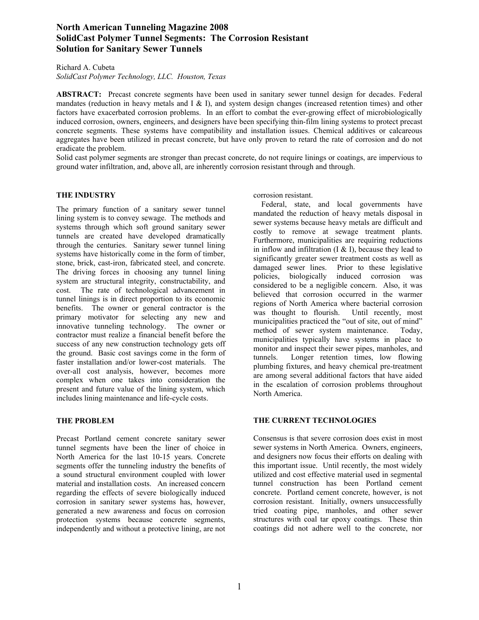# **North American Tunneling Magazine 2008 SolidCast Polymer Tunnel Segments: The Corrosion Resistant Solution for Sanitary Sewer Tunnels**

Richard A. Cubeta

*SolidCast Polymer Technology, LLC. Houston, Texas* 

**ABSTRACT:** Precast concrete segments have been used in sanitary sewer tunnel design for decades. Federal mandates (reduction in heavy metals and I & I), and system design changes (increased retention times) and other factors have exacerbated corrosion problems. In an effort to combat the ever-growing effect of microbiologically induced corrosion, owners, engineers, and designers have been specifying thin-film lining systems to protect precast concrete segments. These systems have compatibility and installation issues. Chemical additives or calcareous aggregates have been utilized in precast concrete, but have only proven to retard the rate of corrosion and do not eradicate the problem.

Solid cast polymer segments are stronger than precast concrete, do not require linings or coatings, are impervious to ground water infiltration, and, above all, are inherently corrosion resistant through and through.

#### **THE INDUSTRY**

The primary function of a sanitary sewer tunnel lining system is to convey sewage. The methods and systems through which soft ground sanitary sewer tunnels are created have developed dramatically through the centuries. Sanitary sewer tunnel lining systems have historically come in the form of timber, stone, brick, cast-iron, fabricated steel, and concrete. The driving forces in choosing any tunnel lining system are structural integrity, constructability, and cost. The rate of technological advancement in tunnel linings is in direct proportion to its economic benefits. The owner or general contractor is the primary motivator for selecting any new and innovative tunneling technology. The owner or contractor must realize a financial benefit before the success of any new construction technology gets off the ground. Basic cost savings come in the form of faster installation and/or lower-cost materials. The over-all cost analysis, however, becomes more complex when one takes into consideration the present and future value of the lining system, which includes lining maintenance and life-cycle costs.

#### **THE PROBLEM**

Precast Portland cement concrete sanitary sewer tunnel segments have been the liner of choice in North America for the last 10-15 years. Concrete segments offer the tunneling industry the benefits of a sound structural environment coupled with lower material and installation costs. An increased concern regarding the effects of severe biologically induced corrosion in sanitary sewer systems has, however, generated a new awareness and focus on corrosion protection systems because concrete segments, independently and without a protective lining, are not

corrosion resistant.

 Federal, state, and local governments have mandated the reduction of heavy metals disposal in sewer systems because heavy metals are difficult and costly to remove at sewage treatment plants. Furthermore, municipalities are requiring reductions in inflow and infiltration  $(I & I)$ , because they lead to significantly greater sewer treatment costs as well as damaged sewer lines. Prior to these legislative policies, biologically induced corrosion was considered to be a negligible concern. Also, it was believed that corrosion occurred in the warmer regions of North America where bacterial corrosion was thought to flourish. Until recently, most municipalities practiced the "out of site, out of mind" method of sewer system maintenance. Today, municipalities typically have systems in place to monitor and inspect their sewer pipes, manholes, and tunnels. Longer retention times, low flowing plumbing fixtures, and heavy chemical pre-treatment are among several additional factors that have aided in the escalation of corrosion problems throughout North America.

## **THE CURRENT TECHNOLOGIES**

Consensus is that severe corrosion does exist in most sewer systems in North America. Owners, engineers, and designers now focus their efforts on dealing with this important issue. Until recently, the most widely utilized and cost effective material used in segmental tunnel construction has been Portland cement concrete. Portland cement concrete, however, is not corrosion resistant. Initially, owners unsuccessfully tried coating pipe, manholes, and other sewer structures with coal tar epoxy coatings. These thin coatings did not adhere well to the concrete, nor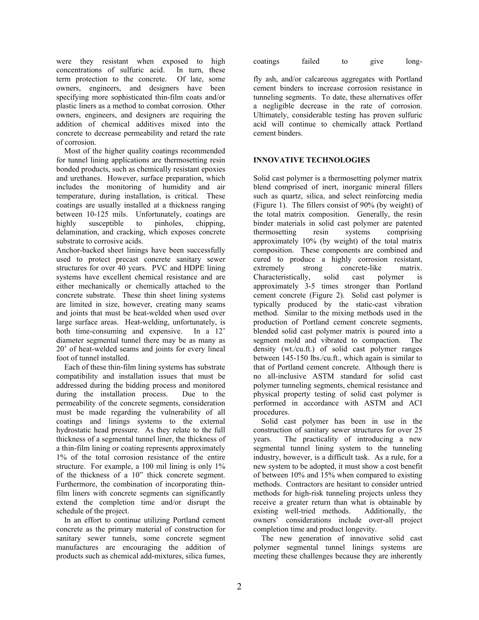were they resistant when exposed to high concentrations of sulfuric acid. In turn, these term protection to the concrete. Of late, some owners, engineers, and designers have been specifying more sophisticated thin-film coats and/or plastic liners as a method to combat corrosion. Other owners, engineers, and designers are requiring the addition of chemical additives mixed into the concrete to decrease permeability and retard the rate of corrosion.

 Most of the higher quality coatings recommended for tunnel lining applications are thermosetting resin bonded products, such as chemically resistant epoxies and urethanes. However, surface preparation, which includes the monitoring of humidity and air temperature, during installation, is critical. These coatings are usually installed at a thickness ranging between 10-125 mils. Unfortunately, coatings are highly susceptible to pinholes, chipping, delamination, and cracking, which exposes concrete substrate to corrosive acids.

Anchor-backed sheet linings have been successfully used to protect precast concrete sanitary sewer structures for over 40 years. PVC and HDPE lining systems have excellent chemical resistance and are either mechanically or chemically attached to the concrete substrate. These thin sheet lining systems are limited in size, however, creating many seams and joints that must be heat-welded when used over large surface areas. Heat-welding, unfortunately, is both time-consuming and expensive. In a 12' diameter segmental tunnel there may be as many as 20' of heat-welded seams and joints for every lineal foot of tunnel installed.

 Each of these thin-film lining systems has substrate compatibility and installation issues that must be addressed during the bidding process and monitored during the installation process. Due to the permeability of the concrete segments, consideration must be made regarding the vulnerability of all coatings and linings systems to the external hydrostatic head pressure. As they relate to the full thickness of a segmental tunnel liner, the thickness of a thin-film lining or coating represents approximately 1% of the total corrosion resistance of the entire structure. For example, a 100 mil lining is only 1% of the thickness of a 10" thick concrete segment. Furthermore, the combination of incorporating thinfilm liners with concrete segments can significantly extend the completion time and/or disrupt the schedule of the project.

 In an effort to continue utilizing Portland cement concrete as the primary material of construction for sanitary sewer tunnels, some concrete segment manufactures are encouraging the addition of products such as chemical add-mixtures, silica fumes,

|          | failed |    |                   |       |
|----------|--------|----|-------------------|-------|
| coatings |        | to | g <sub>1</sub> ve | long- |

fly ash, and/or calcareous aggregates with Portland cement binders to increase corrosion resistance in tunneling segments. To date, these alternatives offer a negligible decrease in the rate of corrosion. Ultimately, considerable testing has proven sulfuric acid will continue to chemically attack Portland cement binders.

#### **INNOVATIVE TECHNOLOGIES**

Solid cast polymer is a thermosetting polymer matrix blend comprised of inert, inorganic mineral fillers such as quartz, silica, and select reinforcing media (Figure 1). The fillers consist of 90% (by weight) of the total matrix composition. Generally, the resin binder materials in solid cast polymer are patented thermosetting resin systems comprising approximately 10% (by weight) of the total matrix composition. These components are combined and cured to produce a highly corrosion resistant, extremely strong concrete-like matrix. Characteristically, solid cast polymer is approximately 3-5 times stronger than Portland cement concrete (Figure 2). Solid cast polymer is typically produced by the static-cast vibration method. Similar to the mixing methods used in the production of Portland cement concrete segments, blended solid cast polymer matrix is poured into a segment mold and vibrated to compaction. The density (wt./cu.ft.) of solid cast polymer ranges between 145-150 lbs./cu.ft., which again is similar to that of Portland cement concrete. Although there is no all-inclusive ASTM standard for solid cast polymer tunneling segments, chemical resistance and physical property testing of solid cast polymer is performed in accordance with ASTM and ACI procedures.

 Solid cast polymer has been in use in the construction of sanitary sewer structures for over 25 years. The practicality of introducing a new segmental tunnel lining system to the tunneling industry, however, is a difficult task. As a rule, for a new system to be adopted, it must show a cost benefit of between 10% and 15% when compared to existing methods. Contractors are hesitant to consider untried methods for high-risk tunneling projects unless they receive a greater return than what is obtainable by existing well-tried methods. Additionally, the owners' considerations include over-all project completion time and product longevity.

 The new generation of innovative solid cast polymer segmental tunnel linings systems are meeting these challenges because they are inherently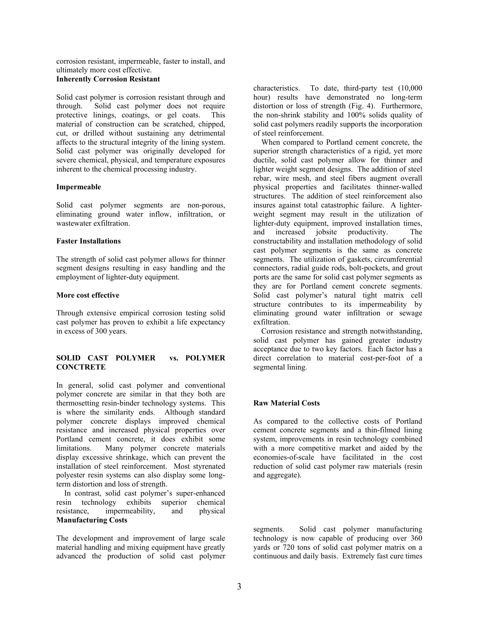corrosion resistant, impermeable, faster to install, and ultimately more cost effective. **Inherently Corrosion Resistant** 

#### Solid cast polymer is corrosion resistant through and through. Solid cast polymer does not require protective linings, coatings, or gel coats. This material of construction can be scratched, chipped, cut, or drilled without sustaining any detrimental affects to the structural integrity of the lining system. Solid cast polymer was originally developed for severe chemical, physical, and temperature exposures inherent to the chemical processing industry.

## **Impermeable**

Solid cast polymer segments are non-porous, eliminating ground water inflow, infiltration, or wastewater exfiltration.

#### **Faster Installations**

The strength of solid cast polymer allows for thinner segment designs resulting in easy handling and the employment of lighter-duty equipment.

## **More cost effective**

Through extensive empirical corrosion testing solid cast polymer has proven to exhibit a life expectancy in excess of 300 years.

## **SOLID CAST POLYMER vs. POLYMER CONCTRETE**

In general, solid cast polymer and conventional polymer concrete are similar in that they both are thermosetting resin-binder technology systems. This is where the similarity ends. Although standard polymer concrete displays improved chemical resistance and increased physical properties over Portland cement concrete, it does exhibit some limitations. Many polymer concrete materials display excessive shrinkage, which can prevent the installation of steel reinforcement. Most styrenated polyester resin systems can also display some longterm distortion and loss of strength.

 In contrast, solid cast polymer's super-enhanced resin technology exhibits superior chemical resistance, impermeability, and physical **Manufacturing Costs** 

The development and improvement of large scale material handling and mixing equipment have greatly advanced the production of solid cast polymer characteristics. To date, third-party test (10,000 hour) results have demonstrated no long-term distortion or loss of strength (Fig. 4). Furthermore, the non-shrink stability and 100% solids quality of solid cast polymers readily supports the incorporation of steel reinforcement.

 When compared to Portland cement concrete, the superior strength characteristics of a rigid, yet more ductile, solid cast polymer allow for thinner and lighter weight segment designs. The addition of steel rebar, wire mesh, and steel fibers augment overall physical properties and facilitates thinner-walled structures. The addition of steel reinforcement also insures against total catastrophic failure. A lighterweight segment may result in the utilization of lighter-duty equipment, improved installation times, and increased jobsite productivity. The constructability and installation methodology of solid cast polymer segments is the same as concrete segments. The utilization of gaskets, circumferential connectors, radial guide rods, bolt-pockets, and grout ports are the same for solid cast polymer segments as they are for Portland cement concrete segments. Solid cast polymer's natural tight matrix cell structure contributes to its impermeability by eliminating ground water infiltration or sewage exfiltration.

 Corrosion resistance and strength notwithstanding, solid cast polymer has gained greater industry acceptance due to two key factors. Each factor has a direct correlation to material cost-per-foot of a segmental lining.

## **Raw Material Costs**

As compared to the collective costs of Portland cement concrete segments and a thin-filmed lining system, improvements in resin technology combined with a more competitive market and aided by the economies-of-scale have facilitated in the cost reduction of solid cast polymer raw materials (resin and aggregate).

segments. Solid cast polymer manufacturing technology is now capable of producing over 360 yards or 720 tons of solid cast polymer matrix on a continuous and daily basis. Extremely fast cure times